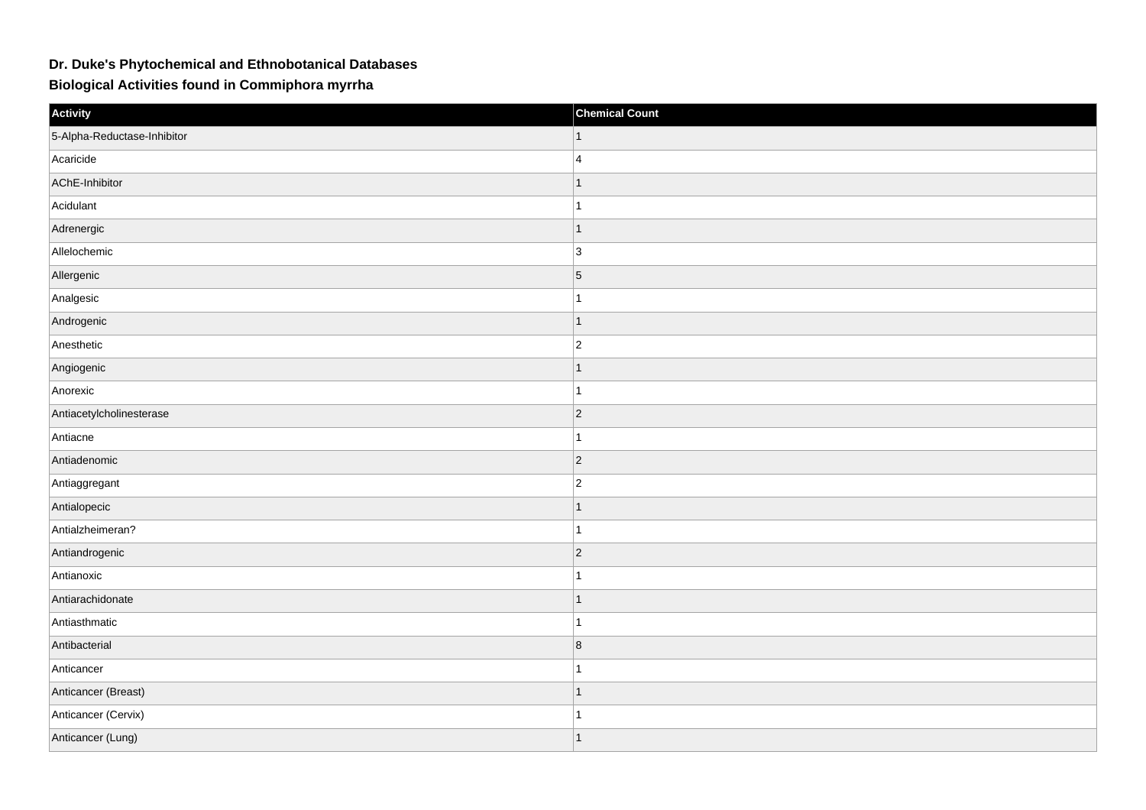## **Dr. Duke's Phytochemical and Ethnobotanical Databases**

**Biological Activities found in Commiphora myrrha**

| Activity                    | <b>Chemical Count</b>   |
|-----------------------------|-------------------------|
| 5-Alpha-Reductase-Inhibitor |                         |
| Acaricide                   | $\overline{4}$          |
| AChE-Inhibitor              | $\mathbf{1}$            |
| Acidulant                   | $\overline{1}$          |
| Adrenergic                  | $\overline{1}$          |
| Allelochemic                | $\vert$ 3               |
| Allergenic                  | $\overline{5}$          |
| Analgesic                   |                         |
| Androgenic                  | $\mathbf{1}$            |
| Anesthetic                  | $ 2\rangle$             |
| Angiogenic                  | $\mathbf{1}$            |
| Anorexic                    | $\overline{1}$          |
| Antiacetylcholinesterase    | $\vert$ 2               |
| Antiacne                    |                         |
| Antiadenomic                | $ 2\rangle$             |
| Antiaggregant               | $ 2\rangle$             |
| Antialopecic                | $\mathbf 1$             |
| Antialzheimeran?            | $\overline{1}$          |
| Antiandrogenic              | $\vert$ 2               |
| Antianoxic                  |                         |
| Antiarachidonate            | $\overline{1}$          |
| Antiasthmatic               | $\overline{1}$          |
| Antibacterial               | $\overline{\mathbf{8}}$ |
| Anticancer                  |                         |
| Anticancer (Breast)         | $\mathbf{1}$            |
| Anticancer (Cervix)         | $\overline{\mathbf{A}}$ |
| Anticancer (Lung)           | $\overline{1}$          |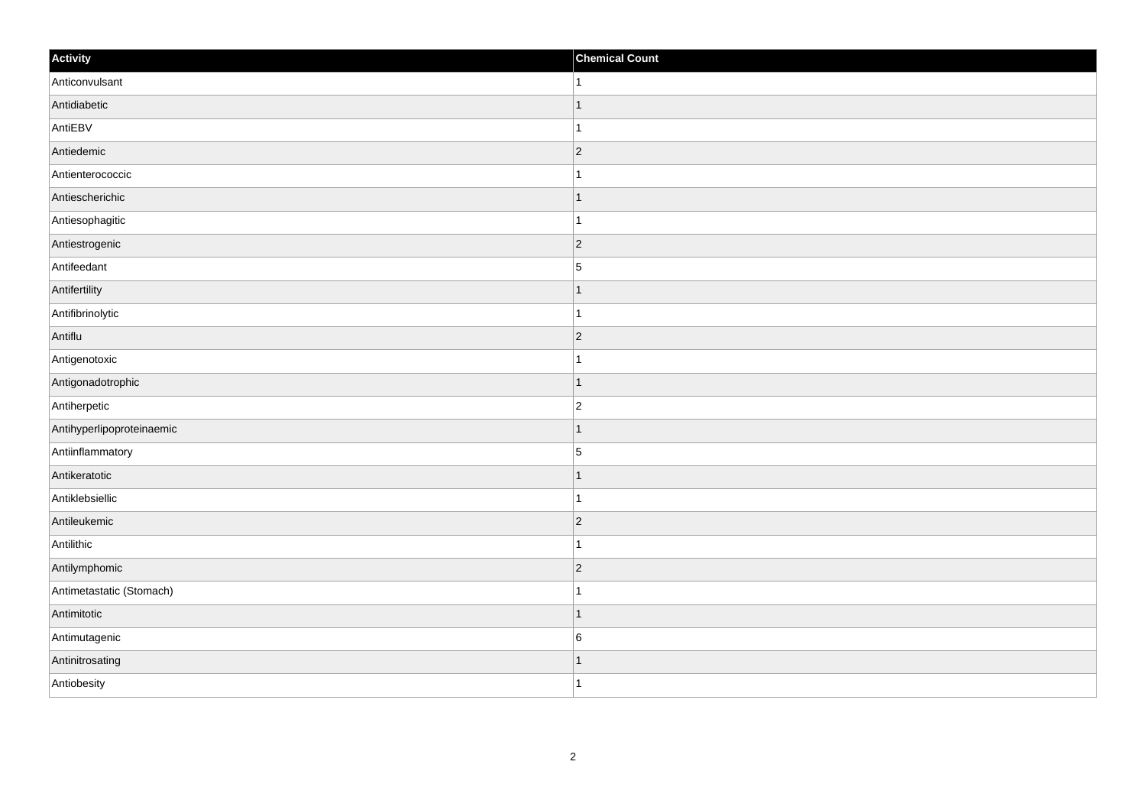| Activity                  | <b>Chemical Count</b>    |
|---------------------------|--------------------------|
| Anticonvulsant            | 1                        |
| Antidiabetic              |                          |
| AntiEBV                   |                          |
| Antiedemic                | $\vert$ 2                |
| Antienterococcic          | 1                        |
| Antiescherichic           |                          |
| Antiesophagitic           |                          |
| Antiestrogenic            | $\overline{2}$           |
| Antifeedant               | $\overline{5}$           |
| Antifertility             | 1                        |
| Antifibrinolytic          | 1                        |
| Antiflu                   | $\vert$ 2                |
| Antigenotoxic             | 1                        |
| Antigonadotrophic         |                          |
| Antiherpetic              | $\overline{2}$           |
| Antihyperlipoproteinaemic | 1                        |
| Antiinflammatory          | $\overline{5}$           |
| Antikeratotic             |                          |
| Antiklebsiellic           |                          |
| Antileukemic              | $\vert$ 2                |
| Antilithic                |                          |
| Antilymphomic             | $\vert$ 2                |
| Antimetastatic (Stomach)  |                          |
| Antimitotic               | $\overline{\phantom{a}}$ |
| Antimutagenic             | $\,6$                    |
| Antinitrosating           |                          |
| Antiobesity               | $\overline{1}$           |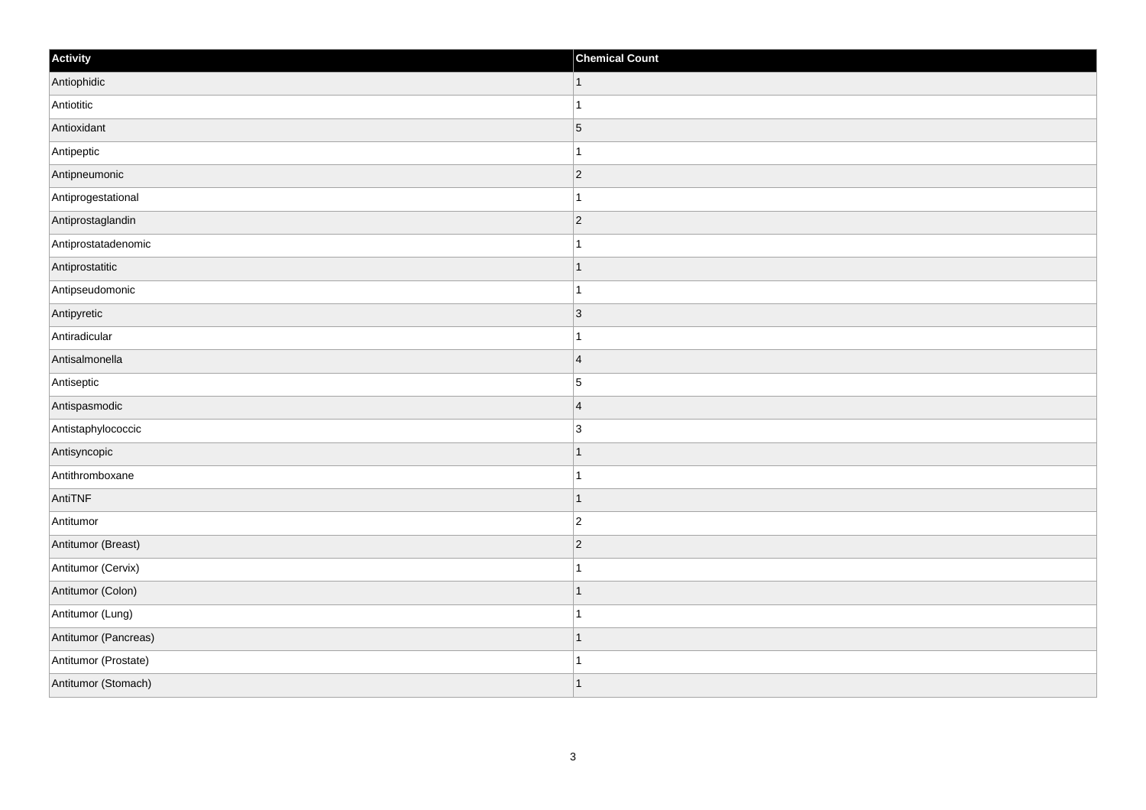| Activity             | <b>Chemical Count</b> |
|----------------------|-----------------------|
| Antiophidic          | $\vert$ 1             |
| Antiotitic           |                       |
| Antioxidant          | $\overline{5}$        |
| Antipeptic           |                       |
| Antipneumonic        | $\overline{2}$        |
| Antiprogestational   |                       |
| Antiprostaglandin    | $\vert$ 2             |
| Antiprostatadenomic  |                       |
| Antiprostatitic      |                       |
| Antipseudomonic      |                       |
| Antipyretic          | $\overline{3}$        |
| Antiradicular        |                       |
| Antisalmonella       | $\overline{4}$        |
| Antiseptic           | $\overline{5}$        |
| Antispasmodic        | $\overline{4}$        |
| Antistaphylococcic   | 3                     |
| Antisyncopic         |                       |
| Antithromboxane      |                       |
| AntiTNF              | 1                     |
| Antitumor            | $\overline{c}$        |
| Antitumor (Breast)   | $\overline{2}$        |
| Antitumor (Cervix)   |                       |
| Antitumor (Colon)    |                       |
| Antitumor (Lung)     |                       |
| Antitumor (Pancreas) | -1                    |
| Antitumor (Prostate) |                       |
| Antitumor (Stomach)  |                       |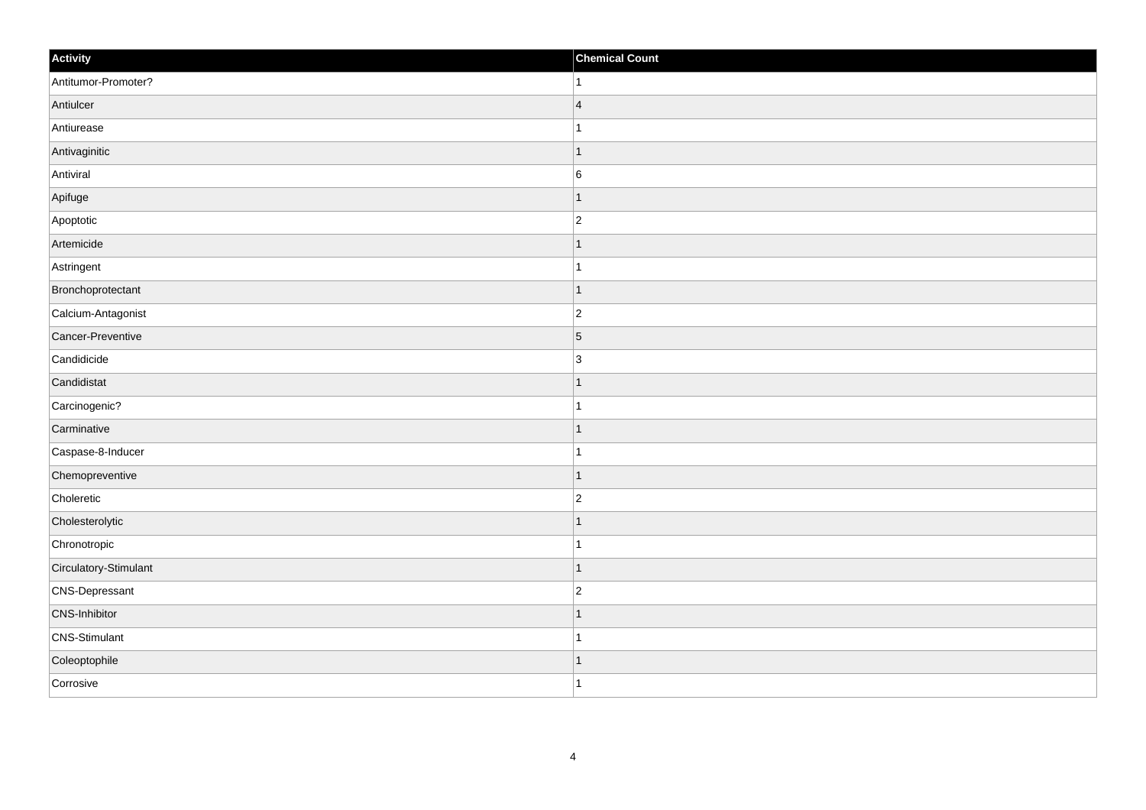| Activity              | <b>Chemical Count</b> |
|-----------------------|-----------------------|
| Antitumor-Promoter?   | $\vert$ 1             |
| Antiulcer             | $\overline{4}$        |
| Antiurease            |                       |
| Antivaginitic         | $\mathbf{1}$          |
| Antiviral             | $\,6$                 |
| Apifuge               |                       |
| Apoptotic             | $\overline{2}$        |
| Artemicide            |                       |
| Astringent            |                       |
| Bronchoprotectant     | $\vert$ 1             |
| Calcium-Antagonist    | $\overline{c}$        |
| Cancer-Preventive     | $\vert 5 \vert$       |
| Candidicide           | $\overline{3}$        |
| Candidistat           |                       |
| Carcinogenic?         |                       |
| Carminative           | $\mathbf{1}$          |
| Caspase-8-Inducer     | $\mathbf{1}$          |
| Chemopreventive       | $\overline{1}$        |
| Choleretic            | $\overline{2}$        |
| Cholesterolytic       |                       |
| Chronotropic          | $\overline{1}$        |
| Circulatory-Stimulant | $\mathbf 1$           |
| CNS-Depressant        | $\overline{c}$        |
| CNS-Inhibitor         | $\overline{1}$        |
| CNS-Stimulant         | $\overline{1}$        |
| Coleoptophile         | 1                     |
| Corrosive             | $\overline{1}$        |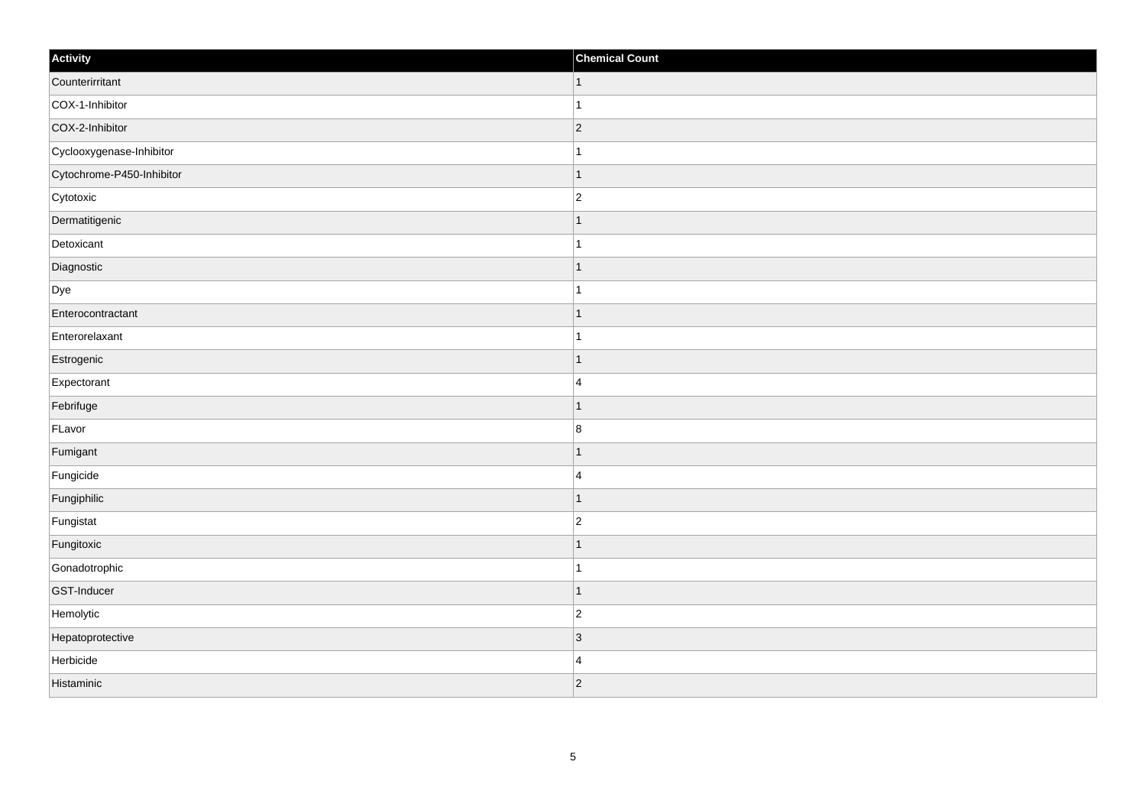| Activity                  | <b>Chemical Count</b> |
|---------------------------|-----------------------|
| Counterirritant           | $\vert$ 1             |
| COX-1-Inhibitor           | $\mathbf{1}$          |
| COX-2-Inhibitor           | $ 2\rangle$           |
| Cyclooxygenase-Inhibitor  | $\mathbf{1}$          |
| Cytochrome-P450-Inhibitor | $\mathbf 1$           |
| Cytotoxic                 | $\overline{c}$        |
| Dermatitigenic            | $\mathbf 1$           |
| Detoxicant                | $\mathbf{1}$          |
| Diagnostic                | $\mathbf 1$           |
| Dye                       | $\overline{1}$        |
| Enterocontractant         | 1                     |
| Enterorelaxant            |                       |
| Estrogenic                | $\mathbf 1$           |
| Expectorant               | $\overline{4}$        |
| Febrifuge                 | 1                     |
| FLavor                    | $\bf 8$               |
| Fumigant                  | 1                     |
| Fungicide                 | $\overline{4}$        |
| Fungiphilic               | $\vert$ 1             |
| Fungistat                 | $\overline{c}$        |
| Fungitoxic                | $\mathbf 1$           |
| Gonadotrophic             | $\mathbf{1}$          |
| GST-Inducer               | $\vert$ 1             |
| Hemolytic                 | $\overline{c}$        |
| Hepatoprotective          | $ 3\rangle$           |
| Herbicide                 | $\overline{4}$        |
| Histaminic                | $ 2\rangle$           |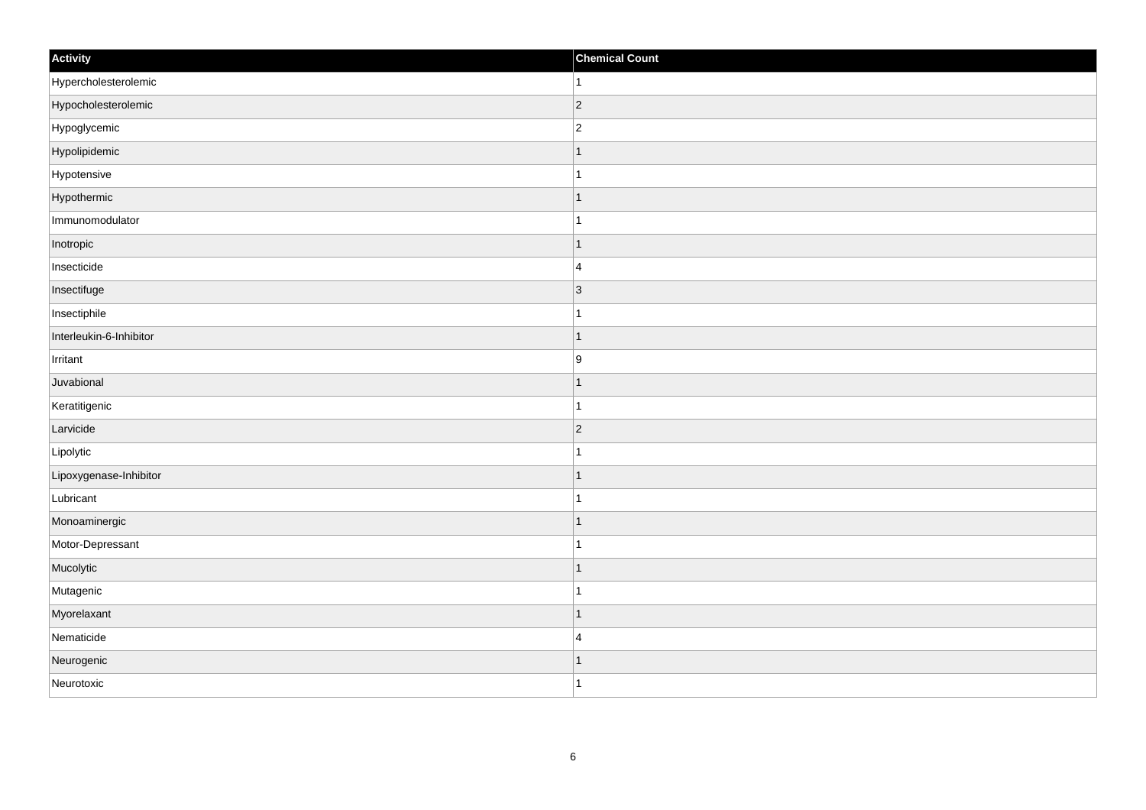| Activity                | <b>Chemical Count</b> |
|-------------------------|-----------------------|
| Hypercholesterolemic    | $\vert$ 1             |
| Hypocholesterolemic     | $ 2\rangle$           |
| Hypoglycemic            | $\vert$ 2             |
| Hypolipidemic           | $\vert$ 1             |
| Hypotensive             | $\vert$ 1             |
| Hypothermic             | $\mathbf{1}$          |
| Immunomodulator         | $\mathbf{1}$          |
| Inotropic               | $\mathbf{1}$          |
| Insecticide             | $\vert$ 4             |
| Insectifuge             | $ 3\rangle$           |
| Insectiphile            | $\vert$ 1             |
| Interleukin-6-Inhibitor | $\mathbf{1}$          |
| Irritant                | 9                     |
| Juvabional              | $\mathbf{1}$          |
| Keratitigenic           | $\vert$ 1             |
| Larvicide               | $ 2\rangle$           |
| Lipolytic               | ∣1                    |
| Lipoxygenase-Inhibitor  | $\vert$ 1             |
| Lubricant               | $\vert$ 1             |
| Monoaminergic           | $\mathbf{1}$          |
| Motor-Depressant        | $\mathbf{1}$          |
| Mucolytic               | $\vert$ 1             |
| Mutagenic               | $\mathbf{1}$          |
| Myorelaxant             | $\vert$ 1             |
| Nematicide              | $\vert$ 4             |
| Neurogenic              | $\mathbf{1}$          |
| Neurotoxic              | $\vert$ 1             |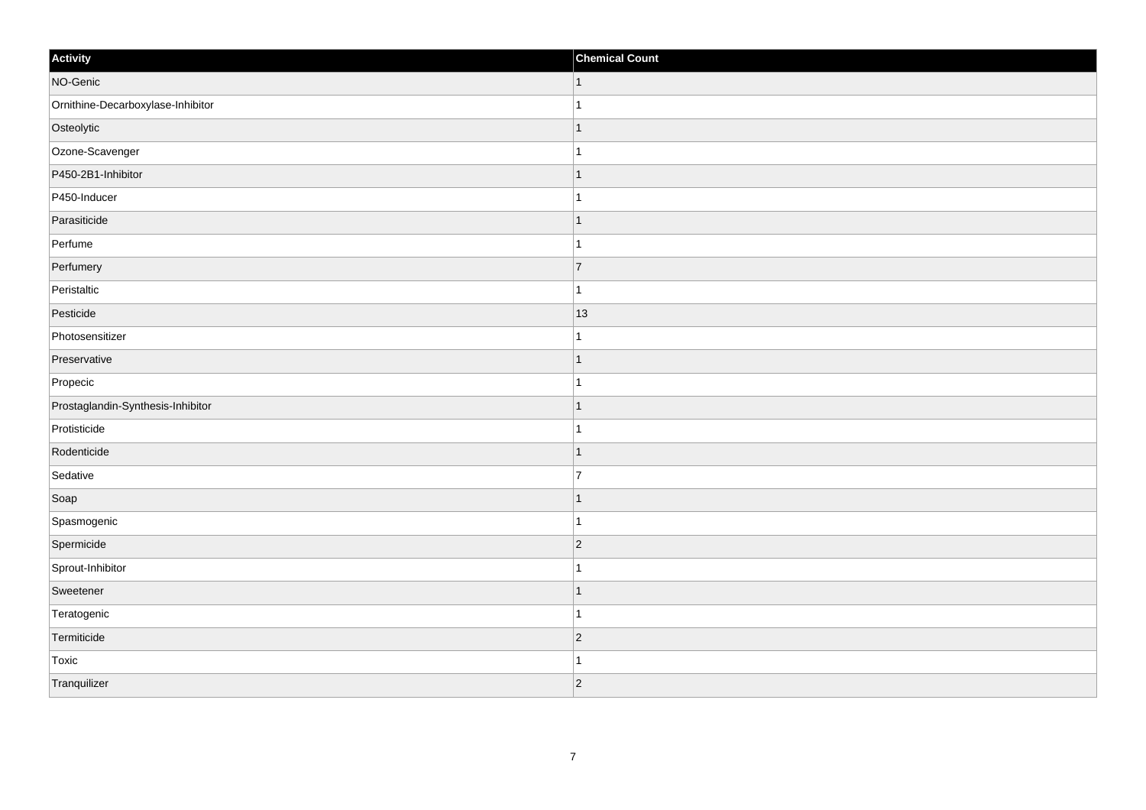| Activity                          | <b>Chemical Count</b> |
|-----------------------------------|-----------------------|
| NO-Genic                          | $\vert$ 1             |
| Ornithine-Decarboxylase-Inhibitor |                       |
| Osteolytic                        |                       |
| Ozone-Scavenger                   |                       |
| P450-2B1-Inhibitor                |                       |
| P450-Inducer                      |                       |
| Parasiticide                      | 1                     |
| Perfume                           | -1                    |
| Perfumery                         | 7                     |
| Peristaltic                       |                       |
| Pesticide                         | 13                    |
| Photosensitizer                   |                       |
| Preservative                      | -1                    |
| Propecic                          | 1                     |
| Prostaglandin-Synthesis-Inhibitor |                       |
| Protisticide                      |                       |
| Rodenticide                       | -1                    |
| Sedative                          | 7                     |
| Soap                              | 1                     |
| Spasmogenic                       | 1                     |
| Spermicide                        | $\vert$ 2             |
| Sprout-Inhibitor                  |                       |
| Sweetener                         | -1                    |
| Teratogenic                       | -1                    |
| Termiticide                       | $\vert$ 2             |
| Toxic                             |                       |
| Tranquilizer                      | $ 2\rangle$           |